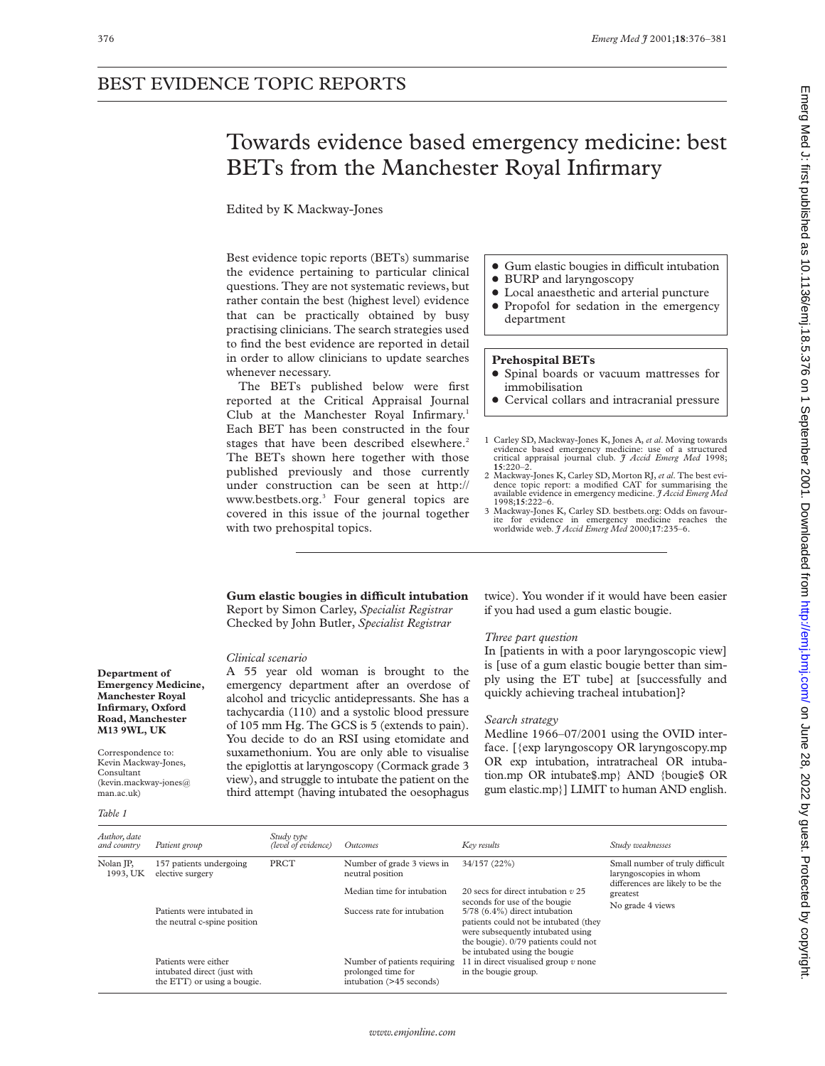## BEST EVIDENCE TOPIC REPORTS

# Towards evidence based emergency medicine: best BETs from the Manchester Royal Infirmary

Edited by K Mackway-Jones

Best evidence topic reports (BETs) summarise the evidence pertaining to particular clinical questions. They are not systematic reviews, but rather contain the best (highest level) evidence that can be practically obtained by busy practising clinicians. The search strategies used to find the best evidence are reported in detail in order to allow clinicians to update searches whenever necessary.

The BETs published below were first reported at the Critical Appraisal Journal Club at the Manchester Royal Infirmary.<sup>1</sup> Each BET has been constructed in the four stages that have been described elsewhere.<sup>2</sup> The BETs shown here together with those published previously and those currently under construction can be seen at http:// www.bestbets.org.<sup>3</sup> Four general topics are covered in this issue of the journal together with two prehospital topics.

- Gum elastic bougies in difficult intubation
- BURP and laryngoscopy
- $\bullet$  Local anaesthetic and arterial puncture • Propofol for sedation in the emergency department

## **Prehospital BETs**

- x Spinal boards or vacuum mattresses for immobilisation
- Cervical collars and intracranial pressure
- 1 Carley SD, Mackway-Jones K, Jones A, *et al*. Moving towards evidence based emergency medicine: use of a structured critical appraisal journal club. *J Accid Emerg Med* 1998; **15**:220–2.
- 2 Mackway-Jones K, Carley SD, Morton RJ, *et al*. The best evidence topic report: a modified CAT for summarising the available evidence in emergency medicine. *J Accid Emerg Med*
- 1998;**15**:222–6. 3 Mackway-Jones K, Carley SD. bestbets.org: Odds on favourite for evidence in emergency medicine reaches the worldwide web. *J Accid Emerg Med* 2000;**17**:235–6.

## **Gum elastic bougies in diYcult intubation** Report by Simon Carley, *Specialist Registrar* Checked by John Butler, *Specialist Registrar*

## *Clinical scenario*

A 55 year old woman is brought to the emergency department after an overdose of alcohol and tricyclic antidepressants. She has a tachycardia (110) and a systolic blood pressure of 105 mm Hg. The GCS is 5 (extends to pain). You decide to do an RSI using etomidate and suxamethonium. You are only able to visualise the epiglottis at laryngoscopy (Cormack grade 3 view), and struggle to intubate the patient on the third attempt (having intubated the oesophagus twice). You wonder if it would have been easier if you had used a gum elastic bougie.

## *Three part question*

In [patients in with a poor laryngoscopic view] is [use of a gum elastic bougie better than simply using the ET tube] at [successfully and quickly achieving tracheal intubation]?

## *Search strategy*

Medline 1966–07/2001 using the OVID interface. [{exp laryngoscopy OR laryngoscopy.mp OR exp intubation, intratracheal OR intubation.mp OR intubate\$.mp} AND {bougie\$ OR gum elastic.mp}] LIMIT to human AND english.

**Department of Emergency Medicine, Manchester Royal Infirmary, Oxford Road, Manchester M13 9WL, UK**

Correspondence to: Kevin Mackway-Jones, Consultant (kevin.mackway-jones@ man.ac.uk)

#### *Table 1*

| Author, date<br>and country | Patient group                                                                      | Study type<br>(level of evidence) | Outcomes                                                                       | Key results                                                                                                                                                                                                           | Study weaknesses                                                                              |
|-----------------------------|------------------------------------------------------------------------------------|-----------------------------------|--------------------------------------------------------------------------------|-----------------------------------------------------------------------------------------------------------------------------------------------------------------------------------------------------------------------|-----------------------------------------------------------------------------------------------|
| Nolan JP,<br>1993, UK       | 157 patients undergoing<br>elective surgery                                        | PRCT                              | Number of grade 3 views in<br>neutral position                                 | 34/157 (22%)                                                                                                                                                                                                          | Small number of truly difficult<br>laryngoscopies in whom<br>differences are likely to be the |
|                             |                                                                                    |                                   | Median time for intubation                                                     | 20 secs for direct intubation $v$ 25                                                                                                                                                                                  | greatest                                                                                      |
|                             | Patients were intubated in<br>the neutral c-spine position                         |                                   | Success rate for intubation                                                    | seconds for use of the bougie<br>5/78 (6.4%) direct intubation<br>patients could not be intubated (they<br>were subsequently intubated using<br>the bougie). 0/79 patients could not<br>be intubated using the bougie | No grade 4 views                                                                              |
|                             | Patients were either<br>intubated direct (just with<br>the ETT) or using a bougie. |                                   | Number of patients requiring<br>prolonged time for<br>intubation (>45 seconds) | 11 in direct visualised group $v$ none<br>in the bougie group.                                                                                                                                                        |                                                                                               |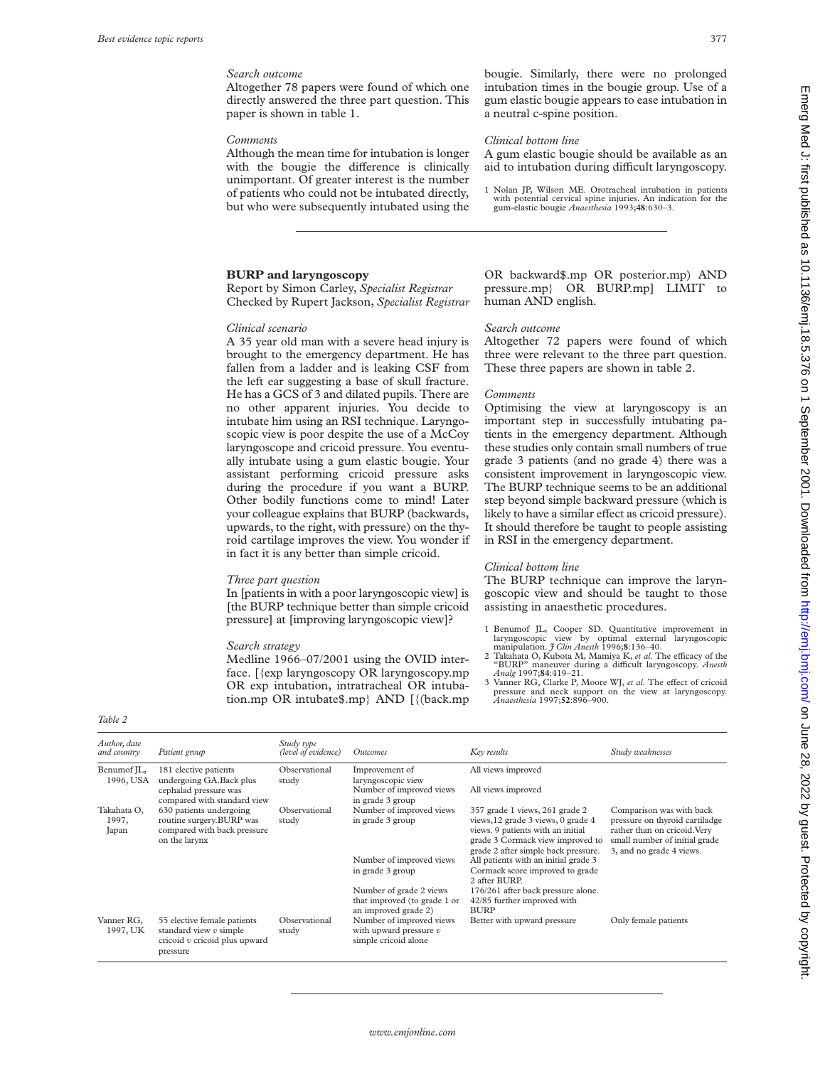## *Search outcome*

Altogether 78 papers were found of which one directly answered the three part question. This paper is shown in table 1.

#### *Comments*

Although the mean time for intubation is longer with the bougie the difference is clinically unimportant. Of greater interest is the number of patients who could not be intubated directly, but who were subsequently intubated using the

## **BURP and laryngoscopy**

Report by Simon Carley, *Specialist Registrar* Checked by Rupert Jackson, *Specialist Registrar*

#### *Clinical scenario*

A 35 year old man with a severe head injury is brought to the emergency department. He has fallen from a ladder and is leaking CSF from the left ear suggesting a base of skull fracture. He has a GCS of 3 and dilated pupils. There are no other apparent injuries. You decide to intubate him using an RSI technique. Laryngoscopic view is poor despite the use of a McCoy laryngoscope and cricoid pressure. You eventually intubate using a gum elastic bougie. Your assistant performing cricoid pressure asks during the procedure if you want a BURP. Other bodily functions come to mind! Later your colleague explains that BURP (backwards, upwards, to the right, with pressure) on the thyroid cartilage improves the view. You wonder if in fact it is any better than simple cricoid.

#### *Three part question*

In [patients in with a poor laryngoscopic view] is [the BURP technique better than simple cricoid pressure] at [improving laryngoscopic view]?

#### *Search strategy*

Medline 1966–07/2001 using the OVID interface. [{exp laryngoscopy OR laryngoscopy.mp OR exp intubation, intratracheal OR intubation.mp OR intubate\$.mp} AND [{(back.mp

bougie. Similarly, there were no prolonged intubation times in the bougie group. Use of a gum elastic bougie appears to ease intubation in a neutral c-spine position.

#### *Clinical bottom line*

A gum elastic bougie should be available as an aid to intubation during difficult laryngoscopy.

1 Nolan JP, Wilson ME. Orotracheal intubation in patients with potential cervical spine injuries. An indication for the gum-elastic bougie *Anaesthesia* 1993;**48**:630–3.

OR backward\$.mp OR posterior.mp) AND pressure.mp} OR BURP.mp] LIMIT to human AND english.

#### *Search outcome*

Altogether 72 papers were found of which three were relevant to the three part question. These three papers are shown in table 2.

#### *Comments*

Optimising the view at laryngoscopy is an important step in successfully intubating patients in the emergency department. Although these studies only contain small numbers of true grade 3 patients (and no grade 4) there was a consistent improvement in laryngoscopic view. The BURP technique seems to be an additional step beyond simple backward pressure (which is likely to have a similar effect as cricoid pressure). It should therefore be taught to people assisting in RSI in the emergency department.

## *Clinical bottom line*

The BURP technique can improve the laryngoscopic view and should be taught to those assisting in anaesthetic procedures.

- 1 Benumof JL, Cooper SD. Quantitative improvement in laryngoscopic view by optimal external laryngoscopic manipulation. *J Clin Anesth* 1996;8:136-40.
- manipulation. *J Clin Anesth* 1996;**8**:136–40.<br>2 Takahata O, Kubota M, Mamiya K, *et al*. The efficacy of the<br>"BURP" maneuver during a difficult laryngoscopy. *Anesth Analg* 1997;**84**:419–21.
- Vanner RG, Clarke P, Moore WJ, et al. The effect of cricoid pressure and neck support on the view at laryngoscopy. *Anaesthesia* 1997;**52**:896–900.

| Author, date<br>and country   | Patient group                                                                                          | Study type<br>(level of evidence) | Outcomes                                                                        | Key results                                                                                                                                                                          | Study weaknesses                                                                                                                                        |
|-------------------------------|--------------------------------------------------------------------------------------------------------|-----------------------------------|---------------------------------------------------------------------------------|--------------------------------------------------------------------------------------------------------------------------------------------------------------------------------------|---------------------------------------------------------------------------------------------------------------------------------------------------------|
| Benumof IL,<br>1996, USA      | 181 elective patients<br>undergoing GA.Back plus                                                       | Observational<br>study            | Improvement of<br>laryngoscopic view<br>Number of improved views                | All views improved<br>All views improved                                                                                                                                             |                                                                                                                                                         |
|                               | cephalad pressure was<br>compared with standard view                                                   |                                   | in grade 3 group                                                                |                                                                                                                                                                                      |                                                                                                                                                         |
| Takahata O,<br>1997,<br>Japan | 630 patients undergoing<br>routine surgery.BURP was<br>compared with back pressure<br>on the larynx    | Observational<br>study            | Number of improved views<br>in grade 3 group                                    | 357 grade 1 views, 261 grade 2<br>views, 12 grade 3 views, 0 grade 4<br>views. 9 patients with an initial<br>grade 3 Cormack view improved to<br>grade 2 after simple back pressure. | Comparison was with back<br>pressure on thyroid cartiladge<br>rather than on cricoid. Very<br>small number of initial grade<br>3, and no grade 4 views. |
|                               |                                                                                                        |                                   | Number of improved views<br>in grade 3 group                                    | All patients with an initial grade 3<br>Cormack score improved to grade<br>2 after BURP.                                                                                             |                                                                                                                                                         |
|                               |                                                                                                        |                                   | Number of grade 2 views<br>that improved (to grade 1 or<br>an improved grade 2) | 176/261 after back pressure alone.<br>42/85 further improved with<br><b>BURP</b>                                                                                                     |                                                                                                                                                         |
| Vanner RG,<br>1997, UK        | 55 elective female patients<br>standard view $v$ simple<br>cricoid $v$ cricoid plus upward<br>pressure | Observational<br>study            | Number of improved views<br>with upward pressure $v$<br>simple cricoid alone    | Better with upward pressure                                                                                                                                                          | Only female patients                                                                                                                                    |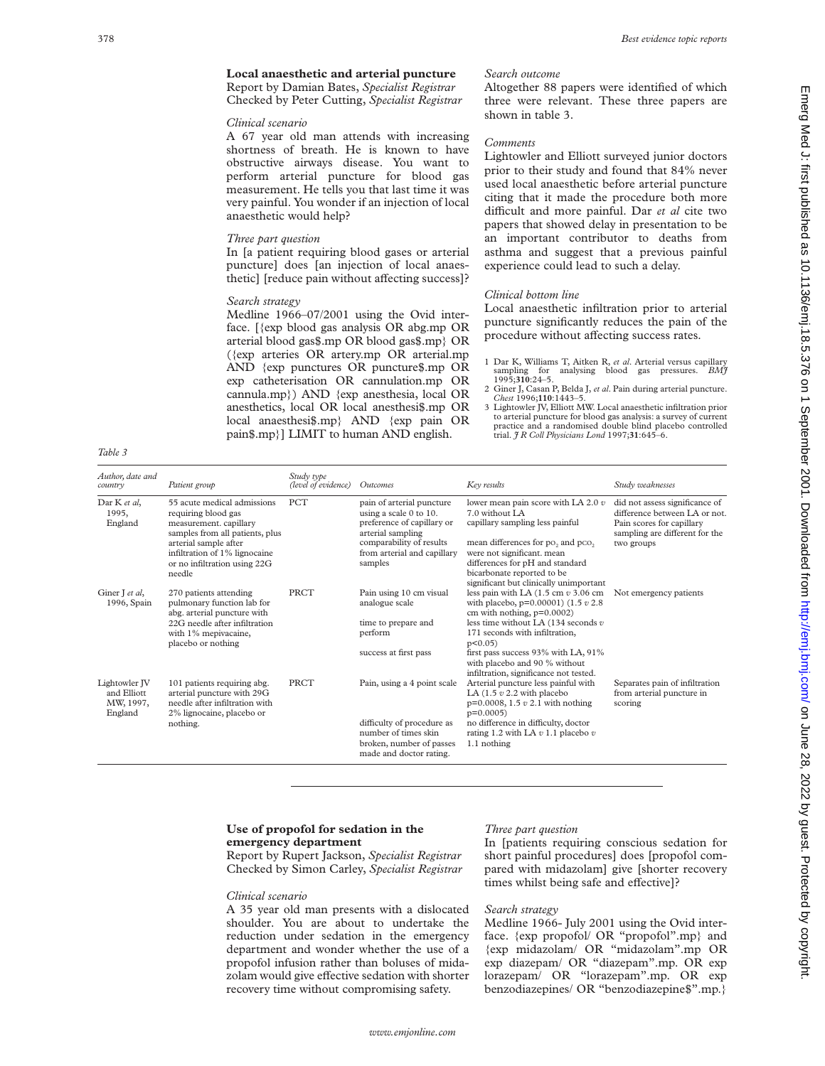Altogether 88 papers were identified of which three were relevant. These three papers are

Lightowler and Elliott surveyed junior doctors prior to their study and found that 84% never used local anaesthetic before arterial puncture citing that it made the procedure both more difficult and more painful. Dar *et al* cite two papers that showed delay in presentation to be an important contributor to deaths from asthma and suggest that a previous painful

Local anaesthetic infiltration prior to arterial puncture significantly reduces the pain of the procedure without affecting success rates.

1 Dar K, Williams T, Aitken R, *et al*. Arterial versus capillary sampling for analysing blood gas pressures. *BMJ* 1995;**310**:24–5. 2 Giner J, Casan P, Belda J, *et al*. Pain during arterial puncture. *Chest* 1996;**110**:1443–5. 3 Lightowler JV, Elliott MW. Local anaesthetic infiltration prior to arterial puncture for blood gas analysis: a survey of current practice and a randomised double blind placebo controlled

experience could lead to such a delay.

trial. *J R Coll Physicians Lond* 1997;**31**:645–6.

## **Local anaesthetic and arterial puncture** Report by Damian Bates, *Specialist Registrar*

Checked by Peter Cutting, *Specialist Registrar*

## *Clinical scenario*

A 67 year old man attends with increasing shortness of breath. He is known to have obstructive airways disease. You want to perform arterial puncture for blood gas measurement. He tells you that last time it was very painful. You wonder if an injection of local anaesthetic would help?

## *Three part question*

In [a patient requiring blood gases or arterial puncture] does [an injection of local anaesthetic] [reduce pain without affecting success]?

## *Search strategy*

Medline 1966–07/2001 using the Ovid interface. [{exp blood gas analysis OR abg.mp OR arterial blood gas\$.mp OR blood gas\$.mp} OR ({exp arteries OR artery.mp OR arterial.mp AND {exp punctures OR puncture\$.mp OR exp catheterisation OR cannulation.mp OR cannula.mp}) AND {exp anesthesia, local OR anesthetics, local OR local anesthesi\$.mp OR local anaesthesi\$.mp} AND {exp pain OR pain\$.mp}] LIMIT to human AND english.

*Table 3*

| Author, date and<br>country                          | Patient group                                                                                                                                                                                                       | Study type<br>(level of evidence) | Outcomes                                                                                                                                                                     | Key results                                                                                                                                                                                                                                                                                            | Study weaknesses                                                                                                                             |
|------------------------------------------------------|---------------------------------------------------------------------------------------------------------------------------------------------------------------------------------------------------------------------|-----------------------------------|------------------------------------------------------------------------------------------------------------------------------------------------------------------------------|--------------------------------------------------------------------------------------------------------------------------------------------------------------------------------------------------------------------------------------------------------------------------------------------------------|----------------------------------------------------------------------------------------------------------------------------------------------|
| Dar K et al.<br>1995.<br>England                     | 55 acute medical admissions<br>requiring blood gas<br>measurement. capillary<br>samples from all patients, plus<br>arterial sample after<br>infiltration of 1% lignocaine<br>or no infiltration using 22G<br>needle | <b>PCT</b>                        | pain of arterial puncture<br>using a scale 0 to 10.<br>preference of capillary or<br>arterial sampling<br>comparability of results<br>from arterial and capillary<br>samples | lower mean pain score with LA 2.0 $v$<br>7.0 without LA<br>capillary sampling less painful<br>mean differences for po, and pco,<br>were not significant. mean<br>differences for pH and standard<br>bicarbonate reported to be<br>significant but clinically unimportant                               | did not assess significance of<br>difference between LA or not.<br>Pain scores for capillary<br>sampling are different for the<br>two groups |
| Giner J et al,<br>1996, Spain                        | 270 patients attending<br>pulmonary function lab for<br>abg. arterial puncture with<br>22G needle after infiltration<br>with 1% mepivacaine,<br>placebo or nothing                                                  | PRCT                              | Pain using 10 cm visual<br>analogue scale<br>time to prepare and<br>perform<br>success at first pass                                                                         | less pain with LA $(1.5 \text{ cm } v 3.06 \text{ cm})$<br>with placebo, $p=0.00001$ (1.5 $v$ 2.8)<br>cm with nothing, $p=0.0002$ )<br>less time without LA $(134$ seconds $v$<br>171 seconds with infiltration,<br>$p<0.05$ )<br>first pass success 93% with LA, 91%                                  | Not emergency patients                                                                                                                       |
| Lightowler IV<br>and Elliott<br>MW, 1997,<br>England | 101 patients requiring abg.<br>arterial puncture with 29G<br>needle after infiltration with<br>2% lignocaine, placebo or<br>nothing.                                                                                | <b>PRCT</b>                       | Pain, using a 4 point scale<br>difficulty of procedure as<br>number of times skin<br>broken, number of passes<br>made and doctor rating.                                     | with placebo and 90 % without<br>infiltration, significance not tested.<br>Arterial puncture less painful with<br>LA $(1.5 v 2.2 with placebo)$<br>$p=0.0008$ , 1.5 $v$ 2.1 with nothing<br>$p=0.0005$<br>no difference in difficulty, doctor<br>rating 1.2 with LA $v$ 1.1 placebo $v$<br>1.1 nothing | Separates pain of infiltration<br>from arterial puncture in<br>scoring                                                                       |

## **Use of propofol for sedation in the emergency department**

Report by Rupert Jackson, *Specialist Registrar* Checked by Simon Carley, *Specialist Registrar*

#### *Clinical scenario*

A 35 year old man presents with a dislocated shoulder. You are about to undertake the reduction under sedation in the emergency department and wonder whether the use of a propofol infusion rather than boluses of midazolam would give effective sedation with shorter recovery time without compromising safety.

#### *Three part question*

*Search outcome*

shown in table 3.

*Clinical bottom line*

*Comments*

In [patients requiring conscious sedation for short painful procedures] does [propofol compared with midazolam] give [shorter recovery times whilst being safe and effective]?

## *Search strategy*

Medline 1966- July 2001 using the Ovid interface. {exp propofol/ OR "propofol".mp} and {exp midazolam/ OR "midazolam".mp OR exp diazepam/ OR "diazepam".mp. OR exp lorazepam/ OR "lorazepam".mp. OR exp benzodiazepines/ OR "benzodiazepine\$".mp.}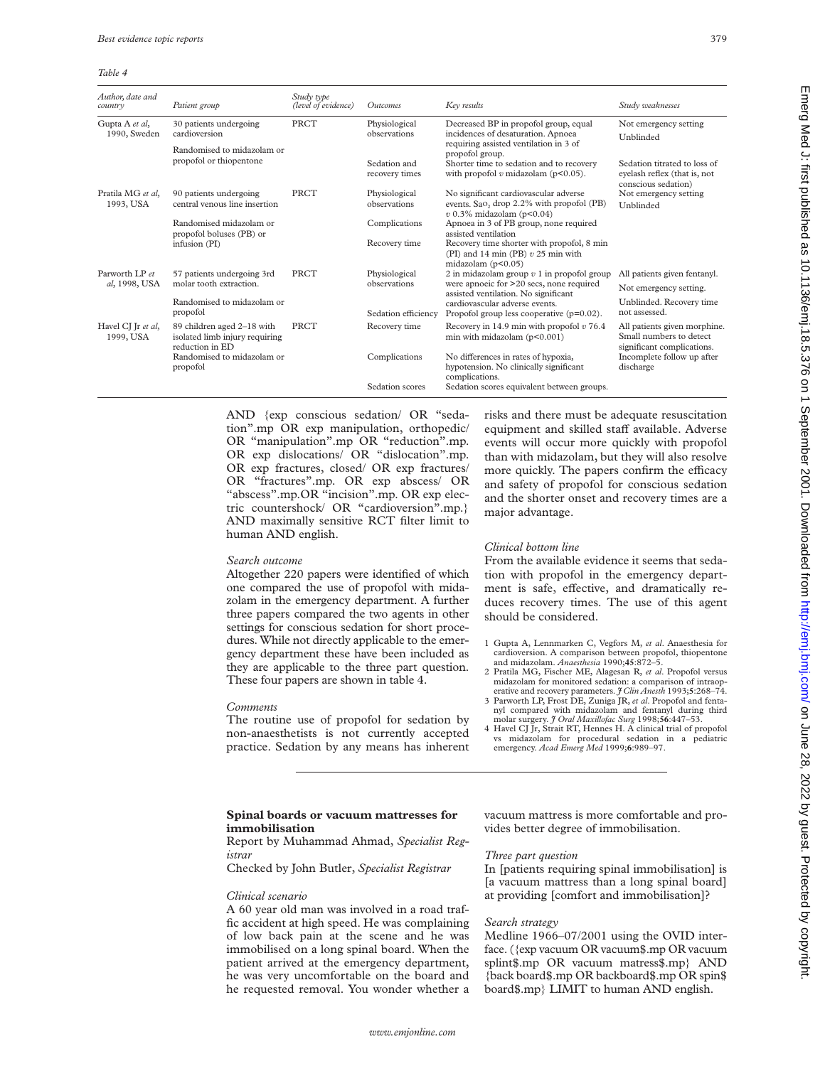#### *Table 4*

| Author, date and<br>country      | Patient group                                                                                                             | Study type<br>(level of evidence) | Outcomes                       | Key results                                                                                                                                                                                                        | Study weaknesses                                                                      |
|----------------------------------|---------------------------------------------------------------------------------------------------------------------------|-----------------------------------|--------------------------------|--------------------------------------------------------------------------------------------------------------------------------------------------------------------------------------------------------------------|---------------------------------------------------------------------------------------|
| Gupta A et al,<br>1990, Sweden   | 30 patients undergoing<br>cardioversion                                                                                   | <b>PRCT</b>                       | Physiological<br>observations  | Decreased BP in propofol group, equal<br>incidences of desaturation. Apnoea<br>requiring assisted ventilation in 3 of<br>propofol group.                                                                           | Not emergency setting<br>Unblinded                                                    |
|                                  | Randomised to midazolam or<br>propofol or thiopentone                                                                     |                                   |                                |                                                                                                                                                                                                                    |                                                                                       |
|                                  |                                                                                                                           |                                   | Sedation and<br>recovery times | Shorter time to sedation and to recovery<br>with propofol $v$ midazolam ( $p<0.05$ ).                                                                                                                              | Sedation titrated to loss of<br>eyelash reflex (that is, not<br>conscious sedation)   |
| Pratila MG et al.<br>1993, USA   | 90 patients undergoing<br>central venous line insertion                                                                   | PRCT                              | Physiological<br>observations  | No significant cardiovascular adverse<br>events. Sao <sub>2</sub> drop 2.2% with propofol (PB)<br>$v$ 0.3% midazolam (p<0.04)                                                                                      | Not emergency setting<br>Unblinded                                                    |
|                                  | Randomised midazolam or<br>propofol boluses (PB) or<br>infusion (PI)                                                      |                                   | Complications                  | Apnoea in 3 of PB group, none required<br>assisted ventilation                                                                                                                                                     |                                                                                       |
|                                  |                                                                                                                           |                                   | Recovery time                  | Recovery time shorter with propofol, 8 min<br>(PI) and 14 min (PB) $v$ 25 min with<br>midazolam $(p<0.05)$                                                                                                         |                                                                                       |
| Parworth I.P et<br>al, 1998, USA | 57 patients undergoing 3rd<br>molar tooth extraction.                                                                     | PRCT                              | Physiological                  | 2 in midazolam group $v$ 1 in propofol group<br>were apnoeic for >20 secs, none required<br>assisted ventilation. No significant<br>cardiovascular adverse events.<br>Propofol group less cooperative $(p=0.02)$ . | All patients given fentanyl.                                                          |
|                                  |                                                                                                                           |                                   | observations                   |                                                                                                                                                                                                                    | Not emergency setting.                                                                |
|                                  | Randomised to midazolam or<br>propofol                                                                                    |                                   | Sedation efficiency            |                                                                                                                                                                                                                    | Unblinded. Recovery time<br>not assessed.                                             |
| Havel CJ Jr et al,<br>1999, USA  | 89 children aged 2-18 with<br>isolated limb injury requiring<br>reduction in ED<br>Randomised to midazolam or<br>propofol | PRCT                              | Recovery time                  | Recovery in 14.9 min with propofol $v$ 76.4<br>min with midazolam $(p<0.001)$<br>No differences in rates of hypoxia,<br>hypotension. No clinically significant<br>complications.                                   | All patients given morphine.<br>Small numbers to detect<br>significant complications. |
|                                  |                                                                                                                           |                                   | Complications                  |                                                                                                                                                                                                                    | Incomplete follow up after<br>discharge                                               |
|                                  |                                                                                                                           |                                   | Sedation scores                | Sedation scores equivalent between groups.                                                                                                                                                                         |                                                                                       |

AND {exp conscious sedation/ OR "sedation".mp OR exp manipulation, orthopedic/ OR "manipulation".mp OR "reduction".mp. OR exp dislocations/ OR "dislocation".mp. OR exp fractures, closed/ OR exp fractures/ OR "fractures".mp. OR exp abscess/ OR "abscess".mp.OR "incision".mp. OR exp electric countershock/ OR "cardioversion".mp.} AND maximally sensitive RCT filter limit to human AND english.

## *Search outcome*

Altogether 220 papers were identified of which one compared the use of propofol with midazolam in the emergency department. A further three papers compared the two agents in other settings for conscious sedation for short procedures. While not directly applicable to the emergency department these have been included as they are applicable to the three part question. These four papers are shown in table 4.

#### *Comments*

The routine use of propofol for sedation by non-anaesthetists is not currently accepted practice. Sedation by any means has inherent risks and there must be adequate resuscitation equipment and skilled staff available. Adverse events will occur more quickly with propofol than with midazolam, but they will also resolve more quickly. The papers confirm the efficacy and safety of propofol for conscious sedation and the shorter onset and recovery times are a major advantage.

## *Clinical bottom line*

From the available evidence it seems that sedation with propofol in the emergency department is safe, effective, and dramatically reduces recovery times. The use of this agent should be considered.

- 1 Gupta A, Lennmarken C, Vegfors M, *et al*. Anaesthesia for cardioversion. A comparison between propofol, thiopentone and midazolam. *Anaesthesia* 1990;**45**:872–5.
- 2 Pratila MG, Fischer ME, Alagesan R, *et al*. Propofol versus midazolam for monitored sedation: a comparison of intraoperative and recovery parameters. *J Clin Anesth* 1993;**5**:268–74.
- 3 Parworth LP, Frost DE, Zuniga JR, *et al*. Propofol and fentanyl compared with midazolam and fentanyl during third molar surgery. *J Oral Maxillofac Surg* 1998;**56**:447–53. 4 Havel CJ Jr, Strait RT, Hennes H. A clinical trial of propofol
- vs midazolam for procedural sedation in a pediatric emergency. *Acad Emerg Med* 1999;**6**:989–97.

## **Spinal boards or vacuum mattresses for immobilisation**

## Report by Muhammad Ahmad, *Specialist Registrar*

Checked by John Butler, *Specialist Registrar*

#### *Clinical scenario*

A 60 year old man was involved in a road traffic accident at high speed. He was complaining of low back pain at the scene and he was immobilised on a long spinal board. When the patient arrived at the emergency department, he was very uncomfortable on the board and he requested removal. You wonder whether a vacuum mattress is more comfortable and provides better degree of immobilisation.

## *Three part question*

In [patients requiring spinal immobilisation] is [a vacuum mattress than a long spinal board] at providing [comfort and immobilisation]?

## *Search strategy*

Medline 1966–07/2001 using the OVID interface. ({exp vacuum OR vacuum\$.mp OR vacuum splint\$.mp OR vacuum matress\$.mp} AND {back board\$.mp OR backboard\$.mp OR spin\$ board\$.mp} LIMIT to human AND english.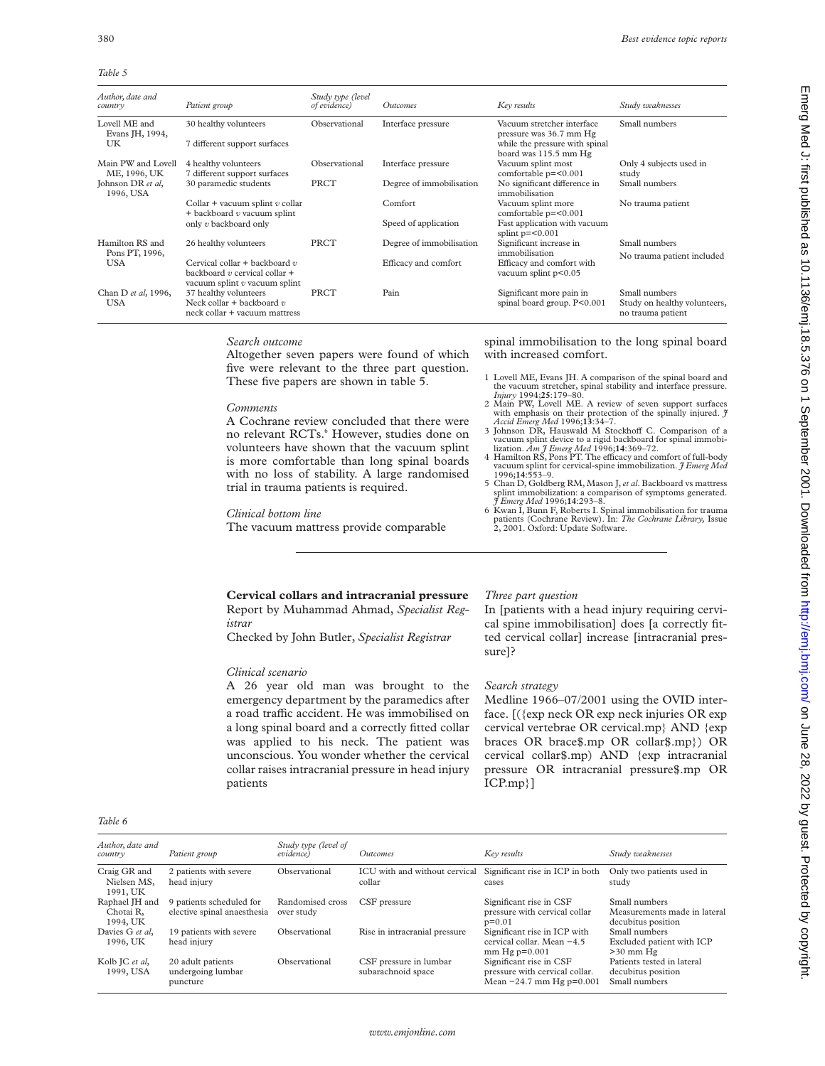*Table 5*

| Author, date and<br>country        | Patient group                                                                                         | Study type (level<br>of evidence) | <b>Outcomes</b>          | Key results                                             | Study weaknesses                                                   |
|------------------------------------|-------------------------------------------------------------------------------------------------------|-----------------------------------|--------------------------|---------------------------------------------------------|--------------------------------------------------------------------|
| Lovell ME and<br>Evans JH, 1994,   | 30 healthy volunteers                                                                                 | Observational                     | Interface pressure       | Vacuum stretcher interface<br>pressure was 36.7 mm Hg   | Small numbers                                                      |
| UK                                 | 7 different support surfaces                                                                          |                                   |                          | while the pressure with spinal<br>board was 115.5 mm Hg |                                                                    |
| Main PW and Lovell<br>ME, 1996, UK | 4 healthy volunteers<br>7 different support surfaces                                                  | Observational                     | Interface pressure       | Vacuum splint most<br>comfortable p=<0.001              | Only 4 subjects used in<br>study                                   |
| Johnson DR et al,<br>1996, USA     | 30 paramedic students                                                                                 | PRCT                              | Degree of immobilisation | No significant difference in<br>immobilisation          | Small numbers                                                      |
|                                    | Collar + vacuum splint $v$ collar<br>$+$ backboard $v$ vacuum splint                                  |                                   | Comfort                  | Vacuum splint more<br>comfortable p=<0.001              | No trauma patient                                                  |
|                                    | only v backboard only                                                                                 |                                   | Speed of application     | Fast application with vacuum<br>splint $p=<0.001$       |                                                                    |
| Hamilton RS and<br>Pons PT, 1996,  | 26 healthy volunteers                                                                                 | PRCT                              | Degree of immobilisation | Significant increase in<br>immobilisation               | Small numbers<br>No trauma patient included                        |
| <b>USA</b>                         | Cervical collar + backboard $v$<br>backboard $v$ cervical collar +<br>vacuum splint $v$ vacuum splint |                                   | Efficacy and comfort     | Efficacy and comfort with<br>vacuum splint p<0.05       |                                                                    |
| Chan D et al, 1996,<br>USA         | 37 healthy volunteers<br>Neck collar + backboard $v$<br>neck collar + vacuum mattress                 | PRCT                              | Pain                     | Significant more pain in<br>spinal board group. P<0.001 | Small numbers<br>Study on healthy volunteers,<br>no trauma patient |

## *Search outcome*

Altogether seven papers were found of which five were relevant to the three part question. These five papers are shown in table 5.

#### *Comments*

A Cochrane review concluded that there were no relevant RCTs.<sup>6</sup> However, studies done on volunteers have shown that the vacuum splint is more comfortable than long spinal boards with no loss of stability. A large randomised trial in trauma patients is required.

#### *Clinical bottom line*

The vacuum mattress provide comparable

spinal immobilisation to the long spinal board with increased comfort.

- 1 Lovell ME, Evans JH. A comparison of the spinal board and the vacuum stretcher, spinal stability and interface pressure.
- *Injury* 1994;**25**:179–80. 2 Main PW, Lovell ME. A review of seven support surfaces with emphasis on their protection of the spinally injured. *J Accid Emerg Med* 1996;**13**:34–7.
- 3 Johnson DR, Hauswald M Stockhoff C. Comparison of a vacuum splint device to a rigid backboard for spinal immobi-<br>lization. *Am J Emerg Med* 1996;14:369–72.
- 4 Hamilton RS, Pons PT. The efficacy and comfort of full-body vacuum splint for cervical-spine immobilization. *J Emerg Med* 1996;**14**:553–9.
- 5 Chan D, Goldberg RM, Mason J,*et al*. Backboard vs mattress splint immobilization: a comparison of symptoms generated. *J Emerg Med* 1996;**14**:293–8.
- 6 Kwan I, Bunn F, Roberts I. Spinal immobilisation for trauma patients (Cochrane Review). In: *The Cochrane Library,* Issue 2, 2001. Oxford: Update Software.

Emerg Med J: first published as 10.1136/emj.18.5.376 on 1 September 2001. Downloaded from http://emj.bmj.com/ on June 28, 2022 by guest. Protected by copyright Emerg 28, 2022 by guest. Protected by guest. Publishight. Junity, http://emj.com/ Emerg Med J: first published by copyright. Protected by 26, 2022 by guest as 10.11419. June 26, 2022 by guest and the stated by and the stat

## **Cervical collars and intracranial pressure** Report by Muhammad Ahmad, *Specialist Registrar*

Checked by John Butler, *Specialist Registrar*

## *Clinical scenario*

A 26 year old man was brought to the emergency department by the paramedics after a road traffic accident. He was immobilised on a long spinal board and a correctly fitted collar was applied to his neck. The patient was unconscious. You wonder whether the cervical collar raises intracranial pressure in head injury patients

## *Three part question*

In [patients with a head injury requiring cervical spine immobilisation] does [a correctly fitted cervical collar] increase [intracranial pressure]?

## *Search strategy*

Medline 1966–07/2001 using the OVID interface. [({exp neck OR exp neck injuries OR exp cervical vertebrae OR cervical.mp} AND {exp braces OR brace\$.mp OR collar\$.mp}) OR cervical collar\$.mp) AND {exp intracranial pressure OR intracranial pressure\$.mp OR ICP.mp}]

| . .<br><b>COLLEGE</b> | ۰, |
|-----------------------|----|
|-----------------------|----|

| Author, date and<br>country             | Patient group                                           | Study type (level of<br>evidence) | <i><u><b>Outcomes</b></u></i>                | Key results                                                                             | Study weaknesses                                                    |
|-----------------------------------------|---------------------------------------------------------|-----------------------------------|----------------------------------------------|-----------------------------------------------------------------------------------------|---------------------------------------------------------------------|
| Craig GR and<br>Nielsen MS,<br>1991, UK | 2 patients with severe<br>head injury                   | Observational                     | ICU with and without cervical<br>collar      | Significant rise in ICP in both<br>cases                                                | Only two patients used in<br>study                                  |
| Raphael JH and<br>Chotai R.<br>1994, UK | 9 patients scheduled for<br>elective spinal anaesthesia | Randomised cross<br>over study    | CSF pressure                                 | Significant rise in CSF<br>pressure with cervical collar<br>$p=0.01$                    | Small numbers<br>Measurements made in lateral<br>decubitus position |
| Davies G et al.<br>1996, UK             | 19 patients with severe<br>head injury                  | Observational                     | Rise in intracranial pressure                | Significant rise in ICP with<br>cervical collar. Mean -4.5<br>$mm$ Hg $p=0.001$         | Small numbers<br>Excluded patient with ICP<br>$>30$ mm $He$         |
| Kolb JC et al,<br>1999, USA             | 20 adult patients<br>undergoing lumbar<br>puncture      | Observational                     | CSF pressure in lumbar<br>subarachnoid space | Significant rise in CSF<br>pressure with cervical collar.<br>Mean $-24.7$ mm Hg p=0.001 | Patients tested in lateral<br>decubitus position<br>Small numbers   |